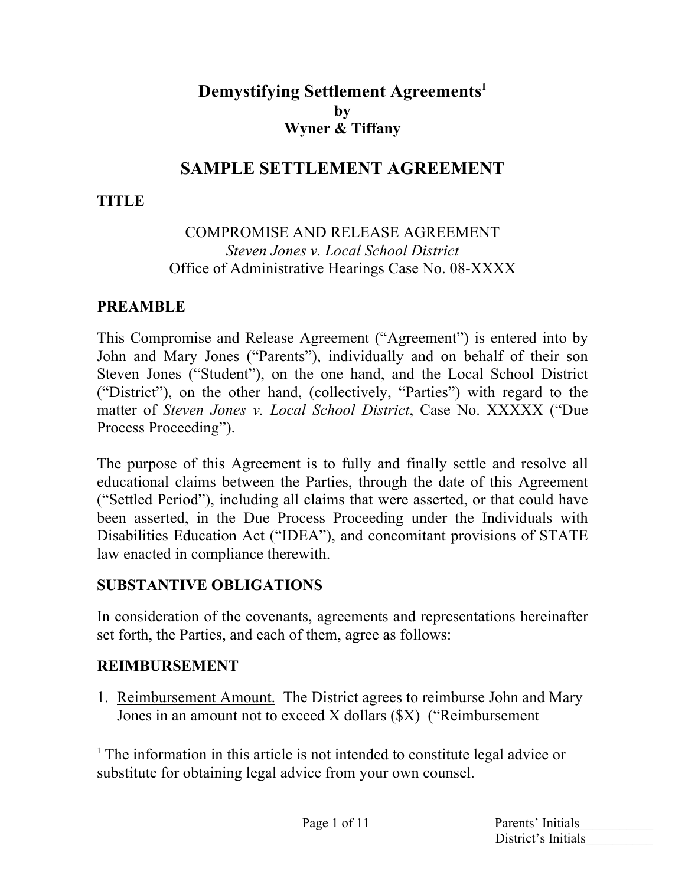## **Demystifying Settlement Agreements 1 by Wyner & Tiffany**

## **SAMPLE SETTLEMENT AGREEMENT**

### **TITLE**

#### COMPROMISE AND RELEASE AGREEMENT *Steven Jones v. Local School District* Office of Administrative Hearings Case No. 08-XXXX

#### **PREAMBLE**

This Compromise and Release Agreement ("Agreement") is entered into by John and Mary Jones ("Parents"), individually and on behalf of their son Steven Jones ("Student"), on the one hand, and the Local School District ("District"), on the other hand, (collectively, "Parties") with regard to the matter of *Steven Jones v. Local School District*, Case No. XXXXX ("Due Process Proceeding").

The purpose of this Agreement is to fully and finally settle and resolve all educational claims between the Parties, through the date of this Agreement ("Settled Period"), including all claims that were asserted, or that could have been asserted, in the Due Process Proceeding under the Individuals with Disabilities Education Act ("IDEA"), and concomitant provisions of STATE law enacted in compliance therewith.

### **SUBSTANTIVE OBLIGATIONS**

In consideration of the covenants, agreements and representations hereinafter set forth, the Parties, and each of them, agree as follows:

#### **REIMBURSEMENT**

1. Reimbursement Amount. The District agrees to reimburse John and Mary Jones in an amount not to exceed X dollars (\$X) ("Reimbursement

<sup>&</sup>lt;sup>1</sup> The information in this article is not intended to constitute legal advice or substitute for obtaining legal advice from your own counsel.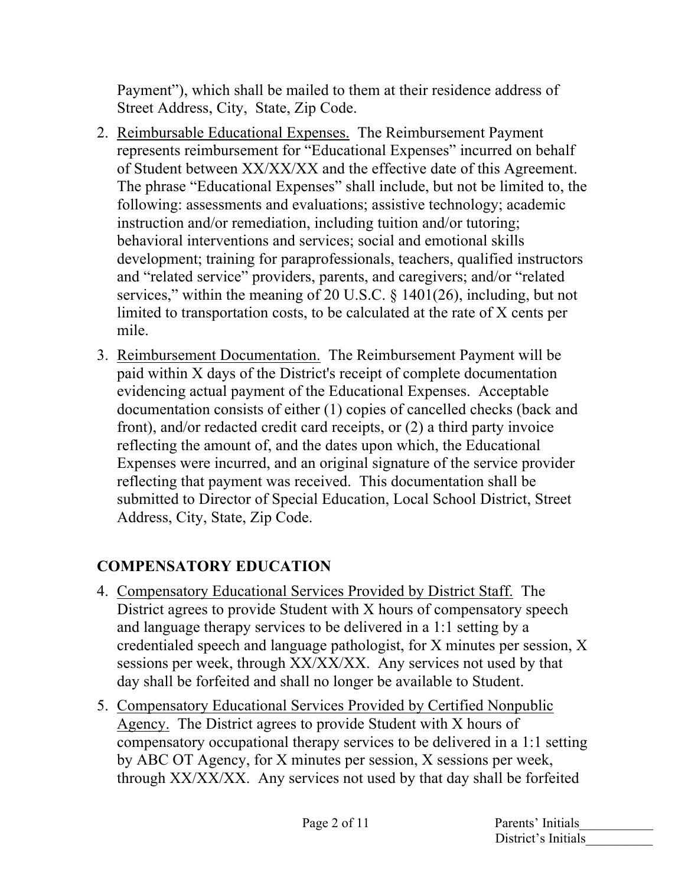Payment"), which shall be mailed to them at their residence address of Street Address, City, State, Zip Code.

- 2. Reimbursable Educational Expenses. The Reimbursement Payment represents reimbursement for "Educational Expenses" incurred on behalf of Student between XX/XX/XX and the effective date of this Agreement. The phrase "Educational Expenses" shall include, but not be limited to, the following: assessments and evaluations; assistive technology; academic instruction and/or remediation, including tuition and/or tutoring; behavioral interventions and services; social and emotional skills development; training for paraprofessionals, teachers, qualified instructors and "related service" providers, parents, and caregivers; and/or "related services," within the meaning of 20 U.S.C. § 1401(26), including, but not limited to transportation costs, to be calculated at the rate of X cents per mile.
- 3. Reimbursement Documentation. The Reimbursement Payment will be paid within X days of the District's receipt of complete documentation evidencing actual payment of the Educational Expenses. Acceptable documentation consists of either (1) copies of cancelled checks (back and front), and/or redacted credit card receipts, or (2) a third party invoice reflecting the amount of, and the dates upon which, the Educational Expenses were incurred, and an original signature of the service provider reflecting that payment was received. This documentation shall be submitted to Director of Special Education, Local School District, Street Address, City, State, Zip Code.

# **COMPENSATORY EDUCATION**

- 4. Compensatory Educational Services Provided by District Staff. The District agrees to provide Student with X hours of compensatory speech and language therapy services to be delivered in a 1:1 setting by a credentialed speech and language pathologist, for X minutes per session, X sessions per week, through XX/XX/XX. Any services not used by that day shall be forfeited and shall no longer be available to Student.
- 5. Compensatory Educational Services Provided by Certified Nonpublic Agency. The District agrees to provide Student with X hours of compensatory occupational therapy services to be delivered in a 1:1 setting by ABC OT Agency, for X minutes per session, X sessions per week, through XX/XX/XX. Any services not used by that day shall be forfeited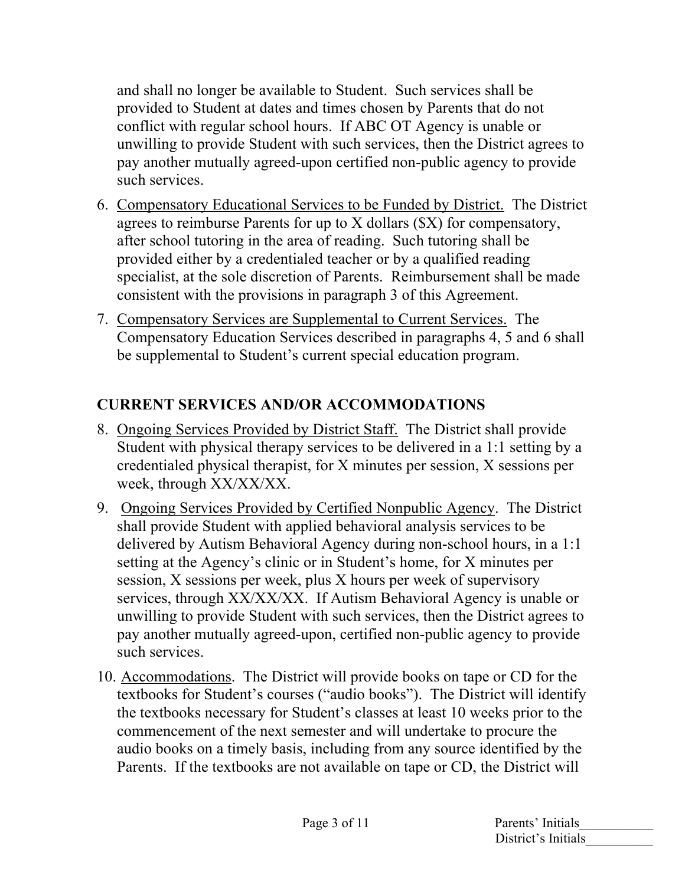and shall no longer be available to Student. Such services shall be provided to Student at dates and times chosen by Parents that do not conflict with regular school hours. If ABC OT Agency is unable or unwilling to provide Student with such services, then the District agrees to pay another mutually agreed-upon certified non-public agency to provide such services.

- 6. Compensatory Educational Services to be Funded by District. The District agrees to reimburse Parents for up to X dollars (\$X) for compensatory, after school tutoring in the area of reading. Such tutoring shall be provided either by a credentialed teacher or by a qualified reading specialist, at the sole discretion of Parents. Reimbursement shall be made consistent with the provisions in paragraph 3 of this Agreement.
- 7. Compensatory Services are Supplemental to Current Services. The Compensatory Education Services described in paragraphs 4, 5 and 6 shall be supplemental to Student's current special education program.

## **CURRENT SERVICES AND/OR ACCOMMODATIONS**

- 8. Ongoing Services Provided by District Staff. The District shall provide Student with physical therapy services to be delivered in a 1:1 setting by a credentialed physical therapist, for X minutes per session, X sessions per week, through XX/XX/XX.
- 9. Ongoing Services Provided by Certified Nonpublic Agency. The District shall provide Student with applied behavioral analysis services to be delivered by Autism Behavioral Agency during non-school hours, in a 1:1 setting at the Agency's clinic or in Student's home, for X minutes per session, X sessions per week, plus X hours per week of supervisory services, through XX/XX/XX. If Autism Behavioral Agency is unable or unwilling to provide Student with such services, then the District agrees to pay another mutually agreed-upon, certified non-public agency to provide such services.
- 10. Accommodations. The District will provide books on tape or CD for the textbooks for Student's courses ("audio books"). The District will identify the textbooks necessary for Student's classes at least 10 weeks prior to the commencement of the next semester and will undertake to procure the audio books on a timely basis, including from any source identified by the Parents. If the textbooks are not available on tape or CD, the District will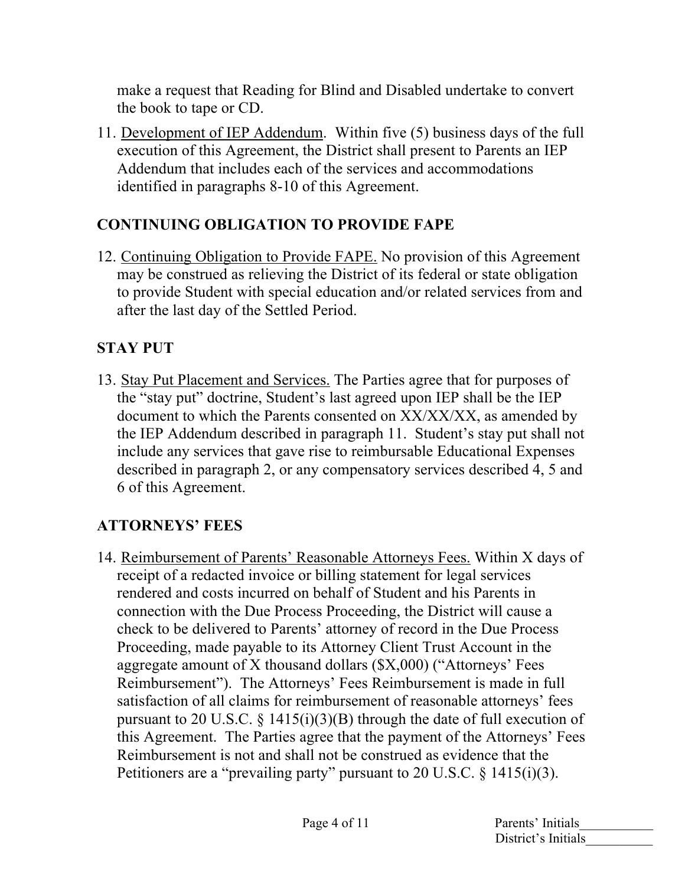make a request that Reading for Blind and Disabled undertake to convert the book to tape or CD.

11. Development of IEP Addendum. Within five (5) business days of the full execution of this Agreement, the District shall present to Parents an IEP Addendum that includes each of the services and accommodations identified in paragraphs 8-10 of this Agreement.

### **CONTINUING OBLIGATION TO PROVIDE FAPE**

12. Continuing Obligation to Provide FAPE. No provision of this Agreement may be construed as relieving the District of its federal or state obligation to provide Student with special education and/or related services from and after the last day of the Settled Period.

# **STAY PUT**

13. Stay Put Placement and Services. The Parties agree that for purposes of the "stay put" doctrine, Student's last agreed upon IEP shall be the IEP document to which the Parents consented on XX/XX/XX, as amended by the IEP Addendum described in paragraph 11. Student's stay put shall not include any services that gave rise to reimbursable Educational Expenses described in paragraph 2, or any compensatory services described 4, 5 and 6 of this Agreement.

# **ATTORNEYS' FEES**

14. Reimbursement of Parents' Reasonable Attorneys Fees. Within X days of receipt of a redacted invoice or billing statement for legal services rendered and costs incurred on behalf of Student and his Parents in connection with the Due Process Proceeding, the District will cause a check to be delivered to Parents' attorney of record in the Due Process Proceeding, made payable to its Attorney Client Trust Account in the aggregate amount of X thousand dollars (\$X,000) ("Attorneys' Fees Reimbursement"). The Attorneys' Fees Reimbursement is made in full satisfaction of all claims for reimbursement of reasonable attorneys' fees pursuant to 20 U.S.C.  $\S$  1415(i)(3)(B) through the date of full execution of this Agreement. The Parties agree that the payment of the Attorneys' Fees Reimbursement is not and shall not be construed as evidence that the Petitioners are a "prevailing party" pursuant to 20 U.S.C. § 1415(i)(3).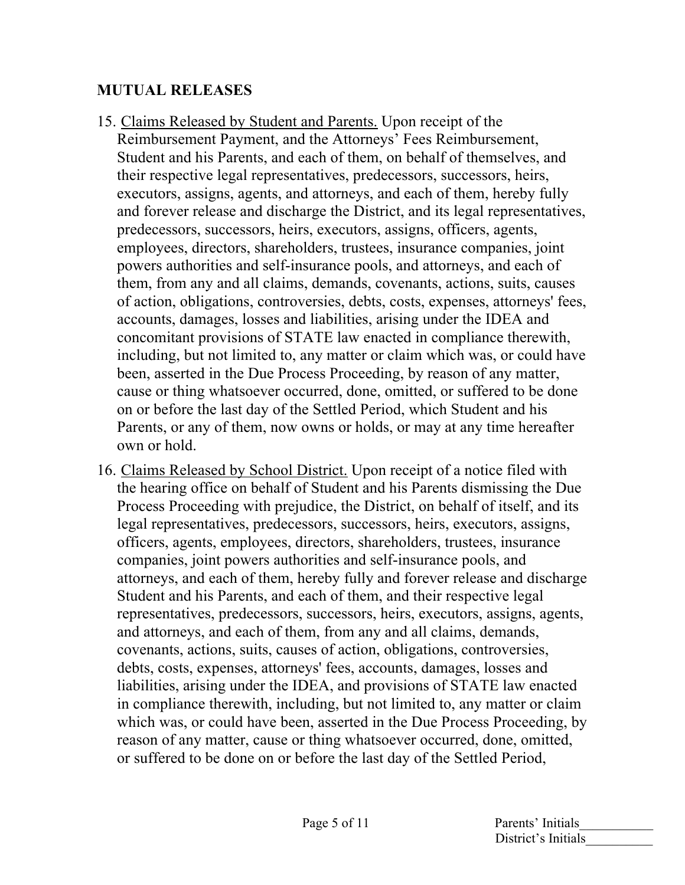### **MUTUAL RELEASES**

- 15. Claims Released by Student and Parents. Upon receipt of the Reimbursement Payment, and the Attorneys' Fees Reimbursement, Student and his Parents, and each of them, on behalf of themselves, and their respective legal representatives, predecessors, successors, heirs, executors, assigns, agents, and attorneys, and each of them, hereby fully and forever release and discharge the District, and its legal representatives, predecessors, successors, heirs, executors, assigns, officers, agents, employees, directors, shareholders, trustees, insurance companies, joint powers authorities and self-insurance pools, and attorneys, and each of them, from any and all claims, demands, covenants, actions, suits, causes of action, obligations, controversies, debts, costs, expenses, attorneys' fees, accounts, damages, losses and liabilities, arising under the IDEA and concomitant provisions of STATE law enacted in compliance therewith, including, but not limited to, any matter or claim which was, or could have been, asserted in the Due Process Proceeding, by reason of any matter, cause or thing whatsoever occurred, done, omitted, or suffered to be done on or before the last day of the Settled Period, which Student and his Parents, or any of them, now owns or holds, or may at any time hereafter own or hold.
- 16. Claims Released by School District. Upon receipt of a notice filed with the hearing office on behalf of Student and his Parents dismissing the Due Process Proceeding with prejudice, the District, on behalf of itself, and its legal representatives, predecessors, successors, heirs, executors, assigns, officers, agents, employees, directors, shareholders, trustees, insurance companies, joint powers authorities and self-insurance pools, and attorneys, and each of them, hereby fully and forever release and discharge Student and his Parents, and each of them, and their respective legal representatives, predecessors, successors, heirs, executors, assigns, agents, and attorneys, and each of them, from any and all claims, demands, covenants, actions, suits, causes of action, obligations, controversies, debts, costs, expenses, attorneys' fees, accounts, damages, losses and liabilities, arising under the IDEA, and provisions of STATE law enacted in compliance therewith, including, but not limited to, any matter or claim which was, or could have been, asserted in the Due Process Proceeding, by reason of any matter, cause or thing whatsoever occurred, done, omitted, or suffered to be done on or before the last day of the Settled Period,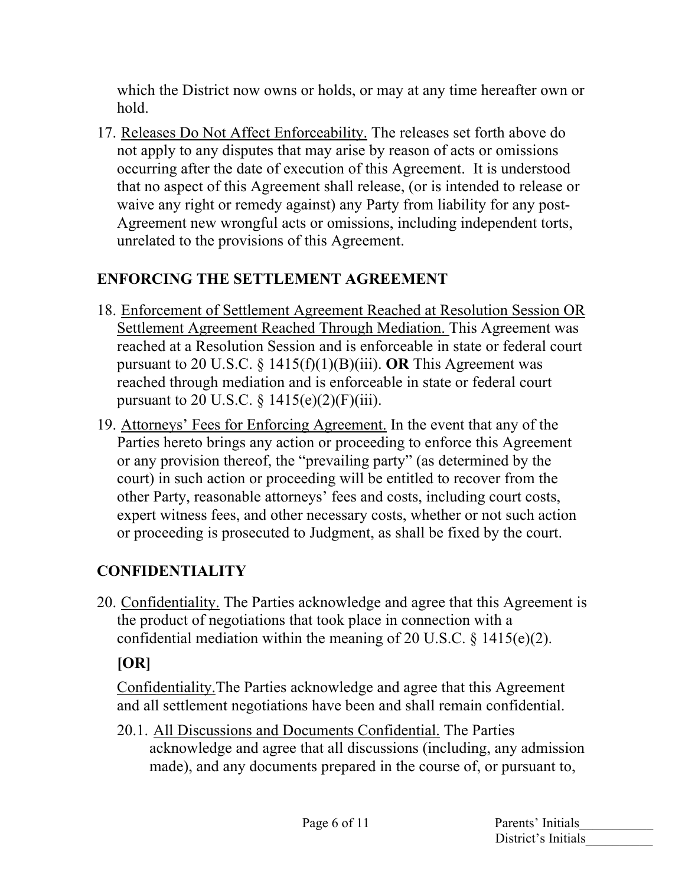which the District now owns or holds, or may at any time hereafter own or hold.

17. Releases Do Not Affect Enforceability. The releases set forth above do not apply to any disputes that may arise by reason of acts or omissions occurring after the date of execution of this Agreement. It is understood that no aspect of this Agreement shall release, (or is intended to release or waive any right or remedy against) any Party from liability for any post-Agreement new wrongful acts or omissions, including independent torts, unrelated to the provisions of this Agreement.

## **ENFORCING THE SETTLEMENT AGREEMENT**

- 18. Enforcement of Settlement Agreement Reached at Resolution Session OR Settlement Agreement Reached Through Mediation. This Agreement was reached at a Resolution Session and is enforceable in state or federal court pursuant to 20 U.S.C. § 1415(f)(1)(B)(iii). **OR** This Agreement was reached through mediation and is enforceable in state or federal court pursuant to 20 U.S.C.  $\frac{1415(e)(2)}{F(iii)}$ .
- 19. Attorneys' Fees for Enforcing Agreement. In the event that any of the Parties hereto brings any action or proceeding to enforce this Agreement or any provision thereof, the "prevailing party" (as determined by the court) in such action or proceeding will be entitled to recover from the other Party, reasonable attorneys' fees and costs, including court costs, expert witness fees, and other necessary costs, whether or not such action or proceeding is prosecuted to Judgment, as shall be fixed by the court.

# **CONFIDENTIALITY**

20. Confidentiality. The Parties acknowledge and agree that this Agreement is the product of negotiations that took place in connection with a confidential mediation within the meaning of 20 U.S.C.  $\S$  1415(e)(2).

# **[OR]**

Confidentiality.The Parties acknowledge and agree that this Agreement and all settlement negotiations have been and shall remain confidential.

20.1. All Discussions and Documents Confidential. The Parties acknowledge and agree that all discussions (including, any admission made), and any documents prepared in the course of, or pursuant to,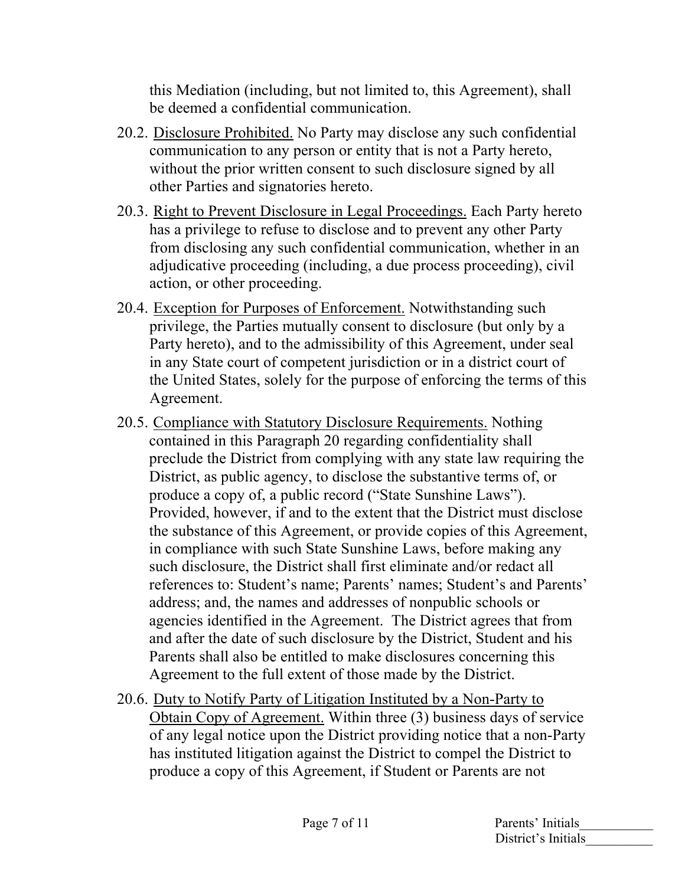this Mediation (including, but not limited to, this Agreement), shall be deemed a confidential communication.

- 20.2. Disclosure Prohibited. No Party may disclose any such confidential communication to any person or entity that is not a Party hereto, without the prior written consent to such disclosure signed by all other Parties and signatories hereto.
- 20.3. Right to Prevent Disclosure in Legal Proceedings. Each Party hereto has a privilege to refuse to disclose and to prevent any other Party from disclosing any such confidential communication, whether in an adjudicative proceeding (including, a due process proceeding), civil action, or other proceeding.
- 20.4. Exception for Purposes of Enforcement. Notwithstanding such privilege, the Parties mutually consent to disclosure (but only by a Party hereto), and to the admissibility of this Agreement, under seal in any State court of competent jurisdiction or in a district court of the United States, solely for the purpose of enforcing the terms of this Agreement.
- 20.5. Compliance with Statutory Disclosure Requirements. Nothing contained in this Paragraph 20 regarding confidentiality shall preclude the District from complying with any state law requiring the District, as public agency, to disclose the substantive terms of, or produce a copy of, a public record ("State Sunshine Laws"). Provided, however, if and to the extent that the District must disclose the substance of this Agreement, or provide copies of this Agreement, in compliance with such State Sunshine Laws, before making any such disclosure, the District shall first eliminate and/or redact all references to: Student's name; Parents' names; Student's and Parents' address; and, the names and addresses of nonpublic schools or agencies identified in the Agreement. The District agrees that from and after the date of such disclosure by the District, Student and his Parents shall also be entitled to make disclosures concerning this Agreement to the full extent of those made by the District.
- 20.6. Duty to Notify Party of Litigation Instituted by a Non-Party to Obtain Copy of Agreement. Within three (3) business days of service of any legal notice upon the District providing notice that a non-Party has instituted litigation against the District to compel the District to produce a copy of this Agreement, if Student or Parents are not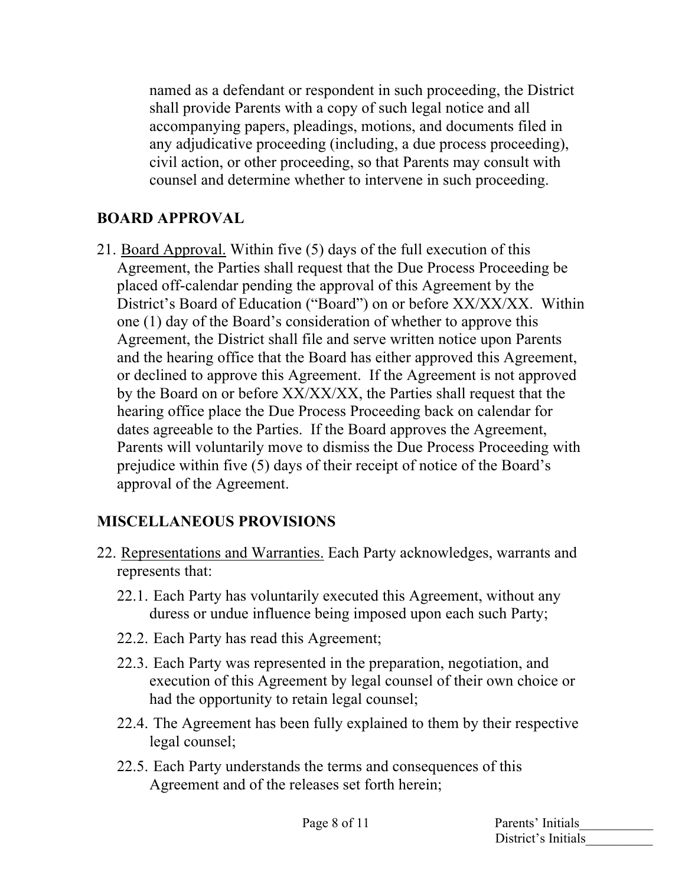named as a defendant or respondent in such proceeding, the District shall provide Parents with a copy of such legal notice and all accompanying papers, pleadings, motions, and documents filed in any adjudicative proceeding (including, a due process proceeding), civil action, or other proceeding, so that Parents may consult with counsel and determine whether to intervene in such proceeding.

### **BOARD APPROVAL**

21. Board Approval. Within five (5) days of the full execution of this Agreement, the Parties shall request that the Due Process Proceeding be placed off-calendar pending the approval of this Agreement by the District's Board of Education ("Board") on or before XX/XX/XX. Within one (1) day of the Board's consideration of whether to approve this Agreement, the District shall file and serve written notice upon Parents and the hearing office that the Board has either approved this Agreement, or declined to approve this Agreement. If the Agreement is not approved by the Board on or before XX/XX/XX, the Parties shall request that the hearing office place the Due Process Proceeding back on calendar for dates agreeable to the Parties. If the Board approves the Agreement, Parents will voluntarily move to dismiss the Due Process Proceeding with prejudice within five (5) days of their receipt of notice of the Board's approval of the Agreement.

## **MISCELLANEOUS PROVISIONS**

- 22. Representations and Warranties. Each Party acknowledges, warrants and represents that:
	- 22.1. Each Party has voluntarily executed this Agreement, without any duress or undue influence being imposed upon each such Party;
	- 22.2. Each Party has read this Agreement;
	- 22.3. Each Party was represented in the preparation, negotiation, and execution of this Agreement by legal counsel of their own choice or had the opportunity to retain legal counsel;
	- 22.4. The Agreement has been fully explained to them by their respective legal counsel;
	- 22.5. Each Party understands the terms and consequences of this Agreement and of the releases set forth herein;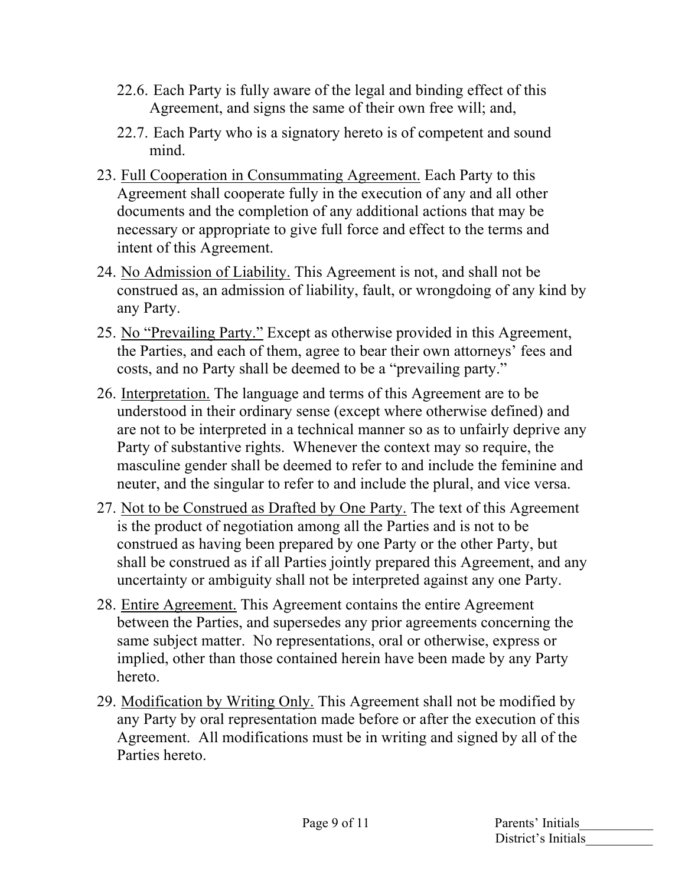- 22.6. Each Party is fully aware of the legal and binding effect of this Agreement, and signs the same of their own free will; and,
- 22.7. Each Party who is a signatory hereto is of competent and sound mind.
- 23. Full Cooperation in Consummating Agreement. Each Party to this Agreement shall cooperate fully in the execution of any and all other documents and the completion of any additional actions that may be necessary or appropriate to give full force and effect to the terms and intent of this Agreement.
- 24. No Admission of Liability. This Agreement is not, and shall not be construed as, an admission of liability, fault, or wrongdoing of any kind by any Party.
- 25. No "Prevailing Party." Except as otherwise provided in this Agreement, the Parties, and each of them, agree to bear their own attorneys' fees and costs, and no Party shall be deemed to be a "prevailing party."
- 26. Interpretation. The language and terms of this Agreement are to be understood in their ordinary sense (except where otherwise defined) and are not to be interpreted in a technical manner so as to unfairly deprive any Party of substantive rights. Whenever the context may so require, the masculine gender shall be deemed to refer to and include the feminine and neuter, and the singular to refer to and include the plural, and vice versa.
- 27. Not to be Construed as Drafted by One Party. The text of this Agreement is the product of negotiation among all the Parties and is not to be construed as having been prepared by one Party or the other Party, but shall be construed as if all Parties jointly prepared this Agreement, and any uncertainty or ambiguity shall not be interpreted against any one Party.
- 28. Entire Agreement. This Agreement contains the entire Agreement between the Parties, and supersedes any prior agreements concerning the same subject matter. No representations, oral or otherwise, express or implied, other than those contained herein have been made by any Party hereto.
- 29. Modification by Writing Only. This Agreement shall not be modified by any Party by oral representation made before or after the execution of this Agreement. All modifications must be in writing and signed by all of the Parties hereto.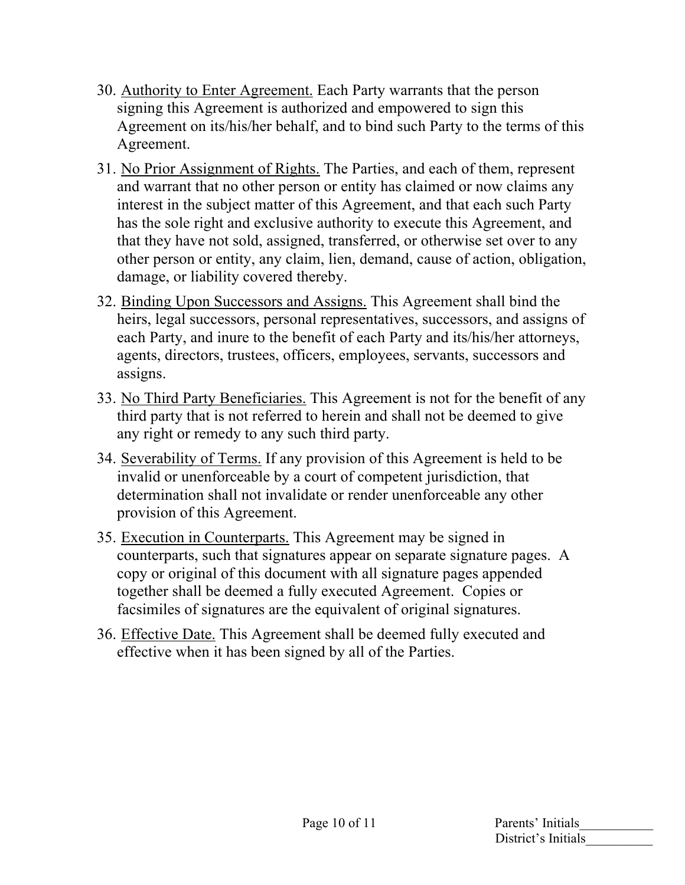- 30. Authority to Enter Agreement. Each Party warrants that the person signing this Agreement is authorized and empowered to sign this Agreement on its/his/her behalf, and to bind such Party to the terms of this Agreement.
- 31. No Prior Assignment of Rights. The Parties, and each of them, represent and warrant that no other person or entity has claimed or now claims any interest in the subject matter of this Agreement, and that each such Party has the sole right and exclusive authority to execute this Agreement, and that they have not sold, assigned, transferred, or otherwise set over to any other person or entity, any claim, lien, demand, cause of action, obligation, damage, or liability covered thereby.
- 32. Binding Upon Successors and Assigns. This Agreement shall bind the heirs, legal successors, personal representatives, successors, and assigns of each Party, and inure to the benefit of each Party and its/his/her attorneys, agents, directors, trustees, officers, employees, servants, successors and assigns.
- 33. No Third Party Beneficiaries. This Agreement is not for the benefit of any third party that is not referred to herein and shall not be deemed to give any right or remedy to any such third party.
- 34. Severability of Terms. If any provision of this Agreement is held to be invalid or unenforceable by a court of competent jurisdiction, that determination shall not invalidate or render unenforceable any other provision of this Agreement.
- 35. Execution in Counterparts. This Agreement may be signed in counterparts, such that signatures appear on separate signature pages. A copy or original of this document with all signature pages appended together shall be deemed a fully executed Agreement. Copies or facsimiles of signatures are the equivalent of original signatures.
- 36. Effective Date. This Agreement shall be deemed fully executed and effective when it has been signed by all of the Parties.